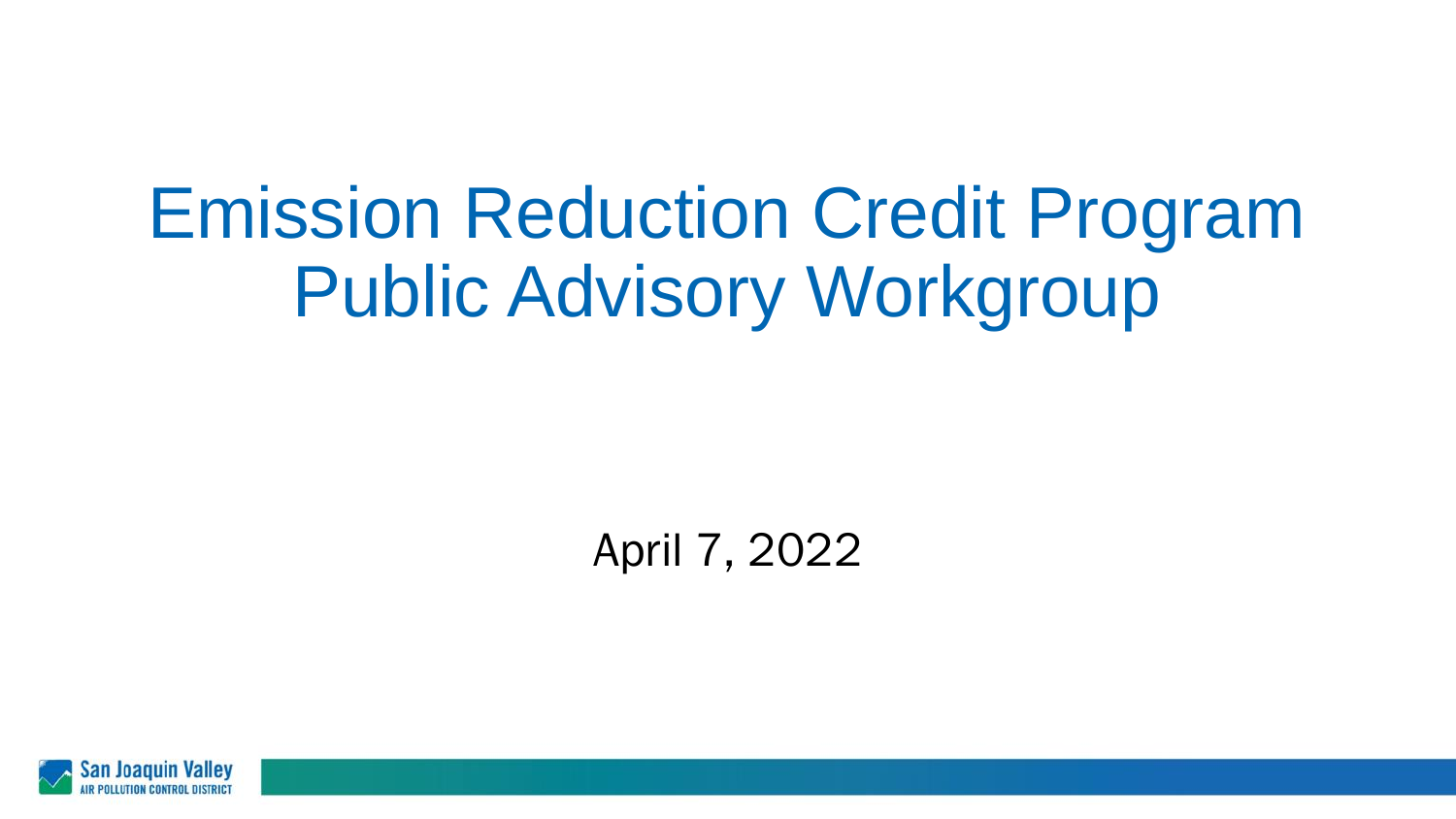# Emission Reduction Credit Program Public Advisory Workgroup

April 7, 2022

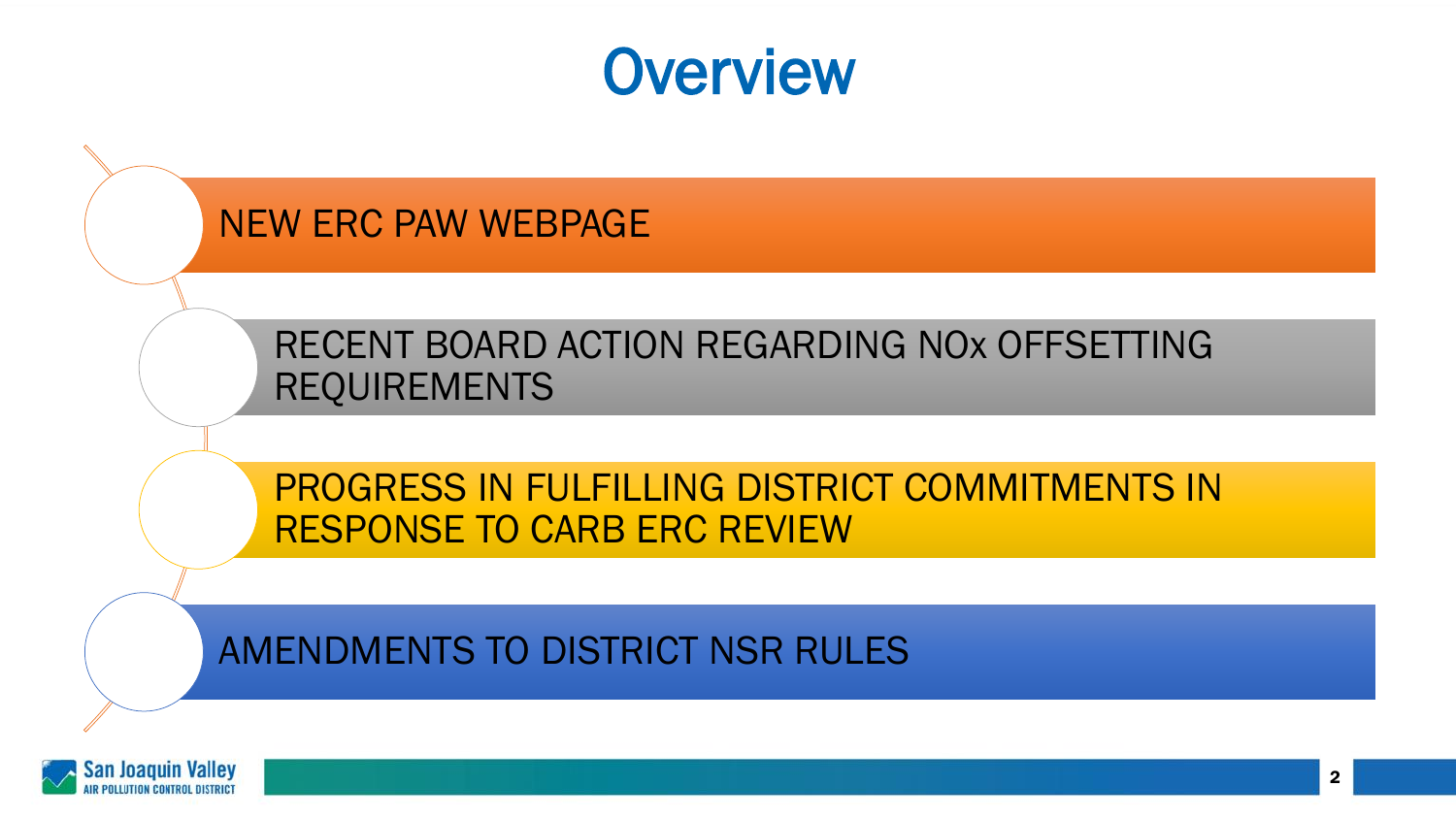#### **Overview**

#### NEW ERC PAW WEBPAGE

RECENT BOARD ACTION REGARDING NOx OFFSETTING REQUIREMENTS

PROGRESS IN FULFILLING DISTRICT COMMITMENTS IN RESPONSE TO CARB ERC REVIEW

#### AMENDMENTS TO DISTRICT NSR RULES

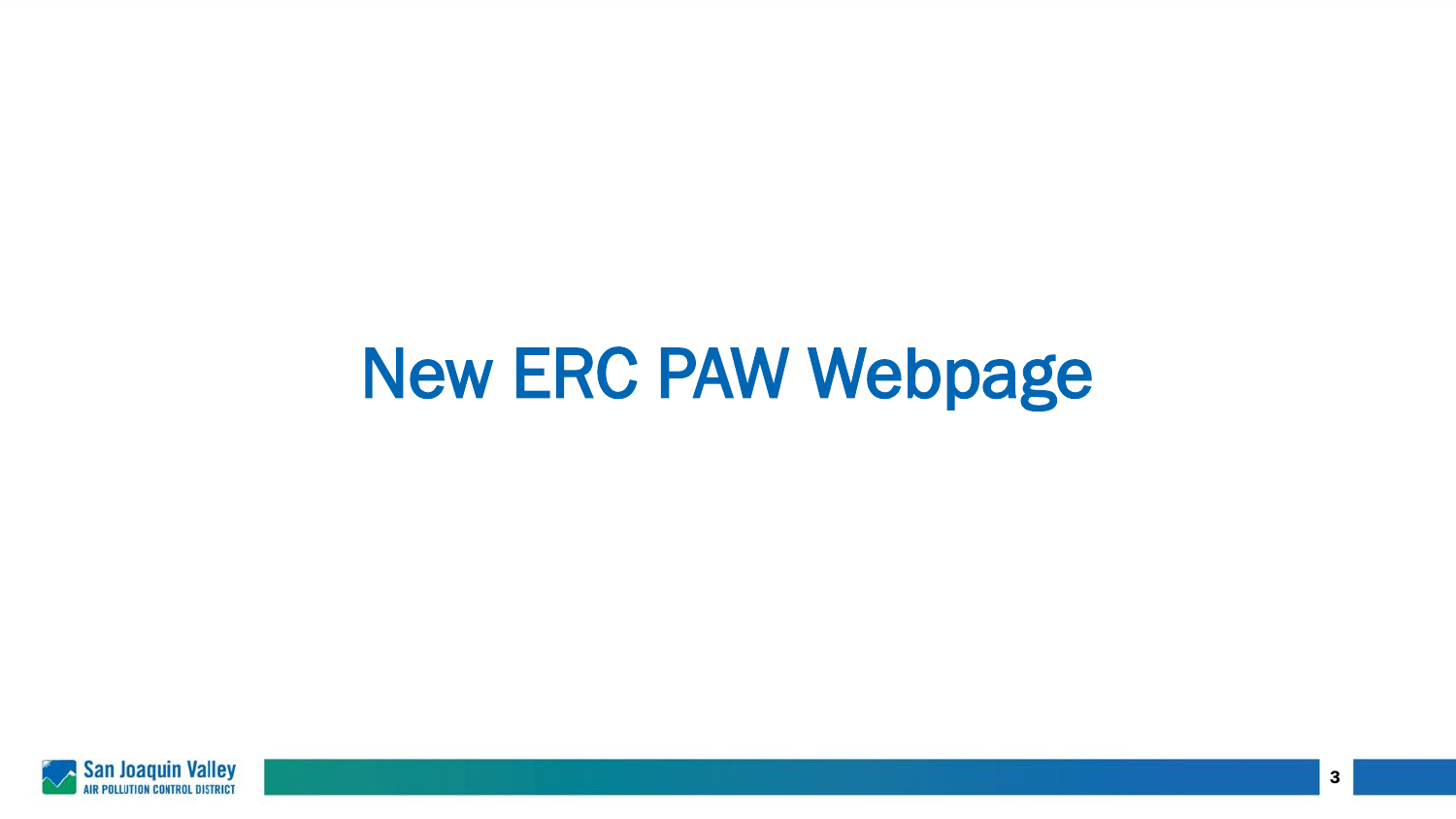# New ERC PAW Webpage

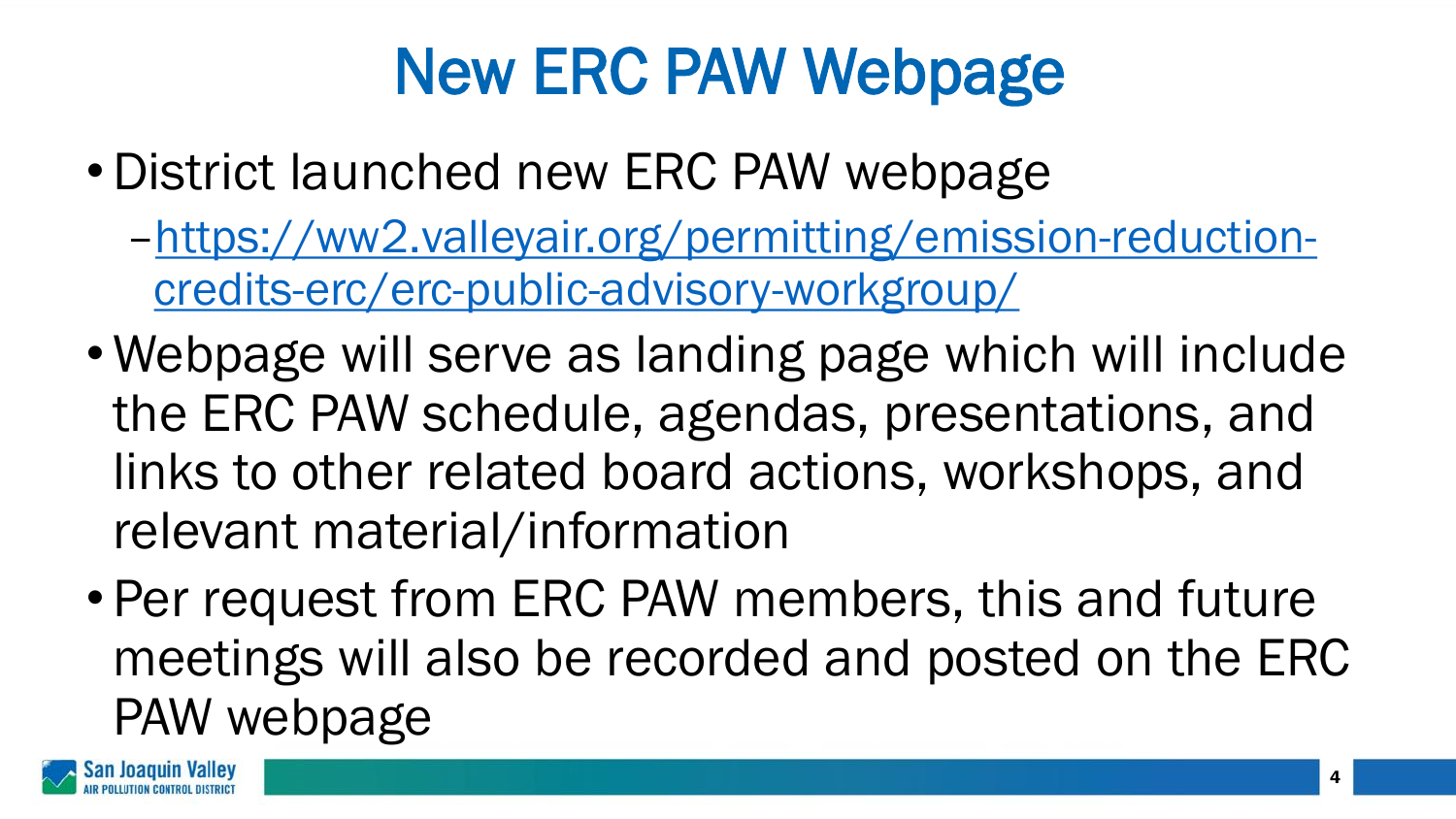# New ERC PAW Webpage

- •District launched new ERC PAW webpage
	- –[https://ww2.valleyair.org/permitting/emission-reduction](https://ww2.valleyair.org/permitting/emission-reduction-credits-erc/erc-public-advisory-workgroup/)credits-erc/erc-public-advisory-workgroup/
- Webpage will serve as landing page which will include the ERC PAW schedule, agendas, presentations, and links to other related board actions, workshops, and relevant material/information
- Per request from ERC PAW members, this and future meetings will also be recorded and posted on the ERC PAW webpage

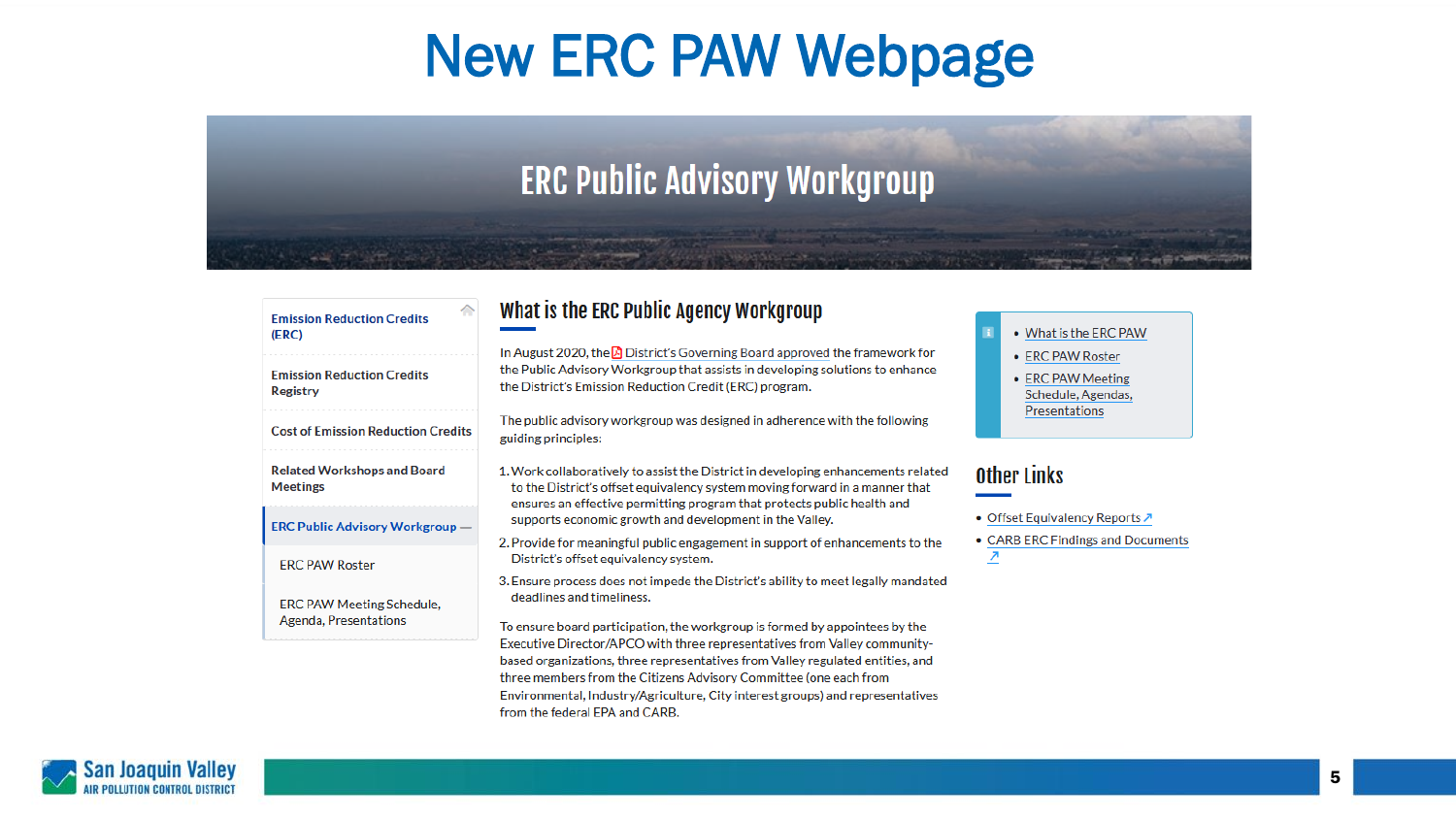#### New ERC PAW Webpage

#### **ERC Public Advisory Workgroup**

and is contributed and analysis

| ◠<br><b>Emission Reduction Credits</b><br>(ERC)       | What is the ERC Public Agency Workgroup                                                                                                                                                                                                     | • What is the ERC PAW                                                               |
|-------------------------------------------------------|---------------------------------------------------------------------------------------------------------------------------------------------------------------------------------------------------------------------------------------------|-------------------------------------------------------------------------------------|
| <b>Emission Reduction Credits</b><br><b>Registry</b>  | In August 2020, the $\Box$ District's Governing Board approved the framework for<br>the Public Advisory Workgroup that assists in developing solutions to enhance<br>the District's Emission Reduction Credit (ERC) program.                | • ERC PAW Roster<br>• ERC PAW Meeting<br>Schedule, Agendas,<br><b>Presentations</b> |
| <b>Cost of Emission Reduction Credits</b>             | The public advisory workgroup was designed in adherence with the following<br>guiding principles:                                                                                                                                           |                                                                                     |
| <b>Related Workshops and Board</b><br><b>Meetings</b> | 1. Work collaboratively to assist the District in developing enhancements related<br>to the District's offset equivalency system moving forward in a manner that<br>ensures an effective permitting program that protects public health and | <b>Other Links</b>                                                                  |
| <b>ERC Public Advisory Workgroup —</b>                | supports economic growth and development in the Valley.                                                                                                                                                                                     | • Offset Equivalency Reports ↗                                                      |
| <b>ERC PAW Roster</b>                                 | 2. Provide for meaningful public engagement in support of enhancements to the<br>District's offset equivalency system.                                                                                                                      | • CARB ERC Findings and Documents                                                   |
| <b>ERC PAW Meeting Schedule,</b>                      | 3. Ensure process does not impede the District's ability to meet legally mandated<br>deadlines and timeliness.                                                                                                                              |                                                                                     |
| Agenda, Presentations                                 | To ensure board participation, the workgroup is formed by appointees by the<br>Executive Director/APCO with three representatives from Valley community-<br>hased organizations, three representatives from Valley regulated entities, and  |                                                                                     |

based organizations, three representatives from Valley regulated entities, and three members from the Citizens Advisory Committee (one each from Environmental, Industry/Agriculture, City interest groups) and representatives from the federal EPA and CARB.

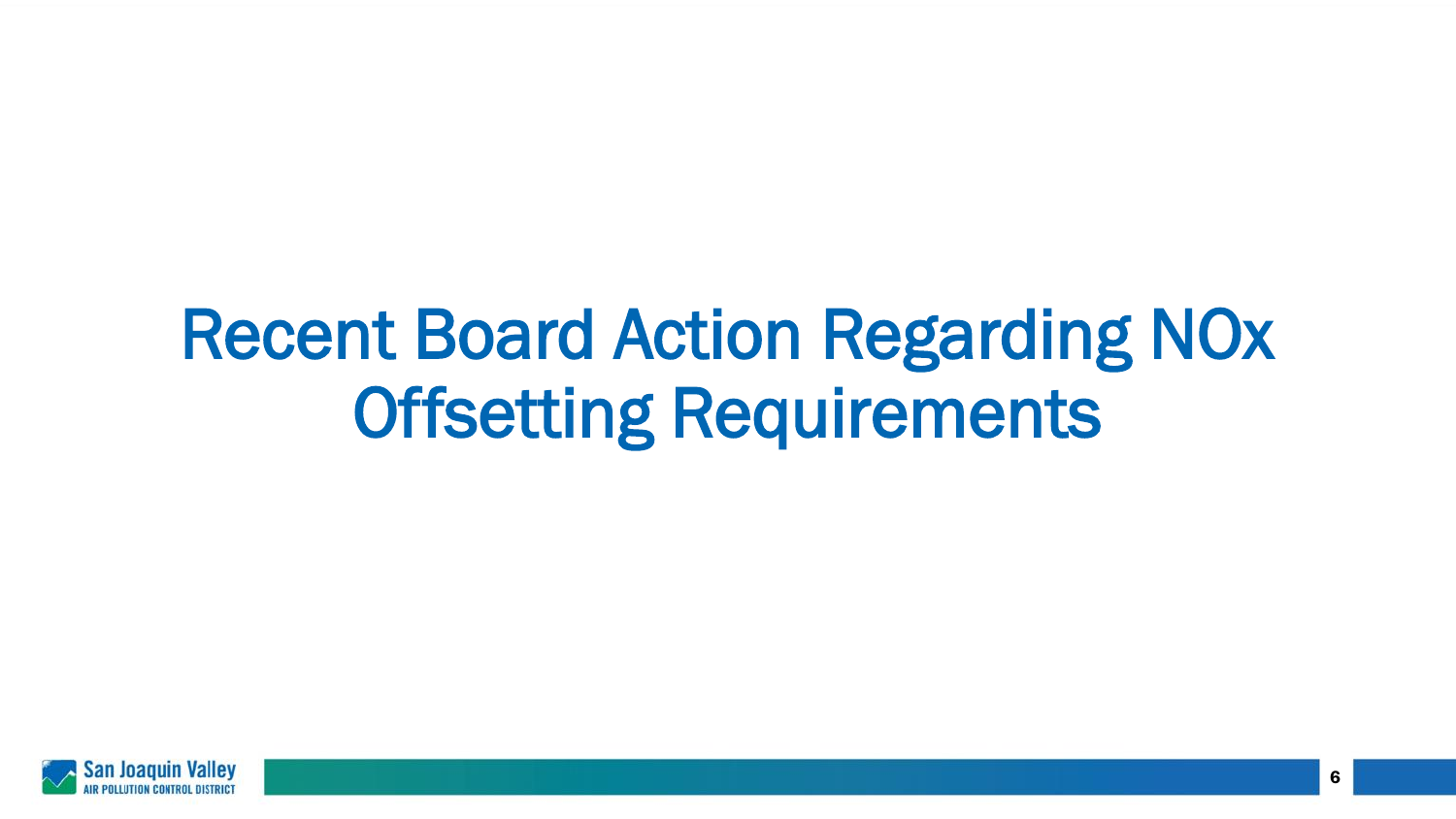# Recent Board Action Regarding NOx Offsetting Requirements

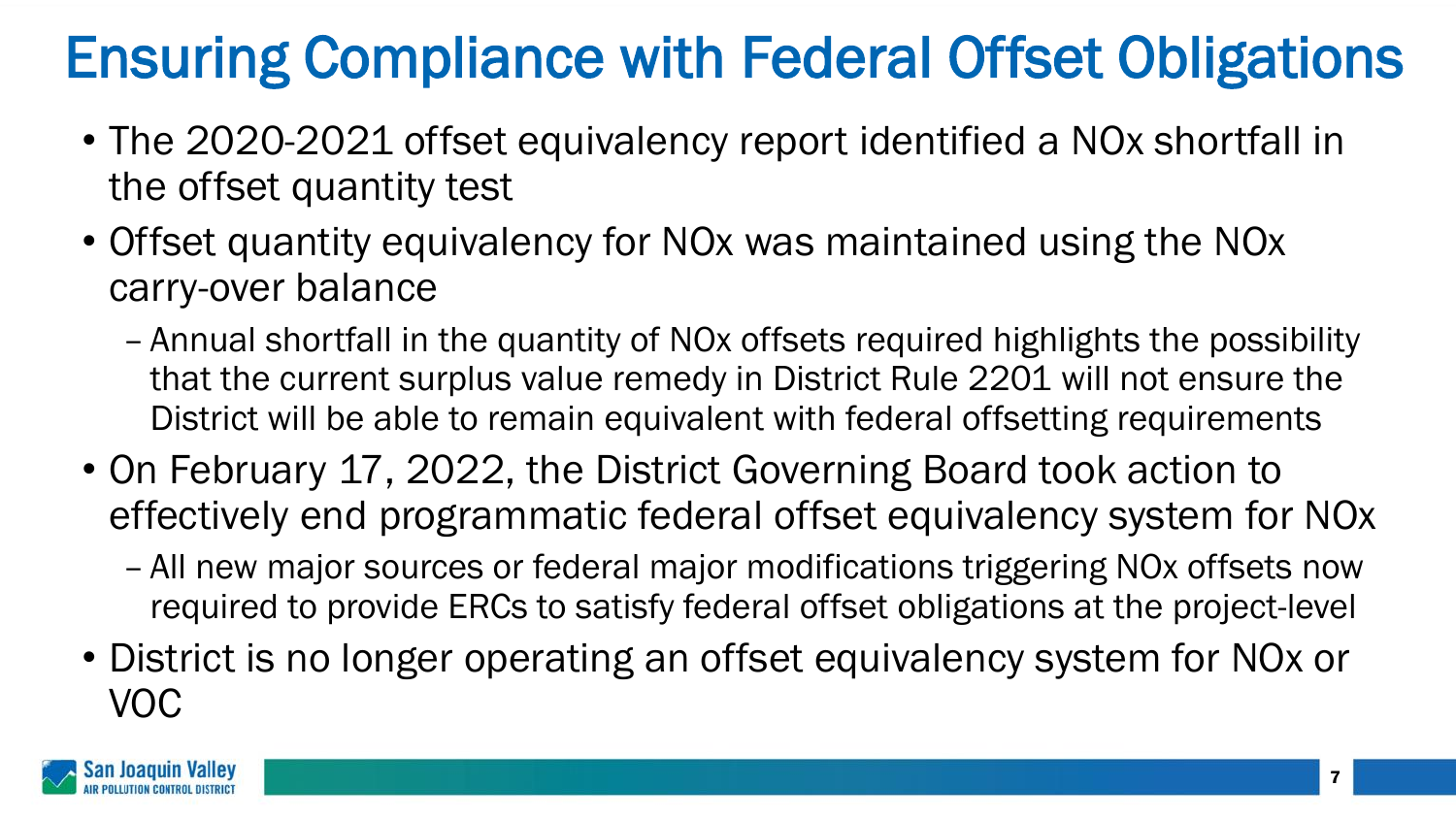#### Ensuring Compliance with Federal Offset Obligations

- The 2020-2021 offset equivalency report identified a NOx shortfall in the offset quantity test
- Offset quantity equivalency for NOx was maintained using the NOx carry-over balance
	- Annual shortfall in the quantity of NOx offsets required highlights the possibility that the current surplus value remedy in District Rule 2201 will not ensure the District will be able to remain equivalent with federal offsetting requirements
- On February 17, 2022, the District Governing Board took action to effectively end programmatic federal offset equivalency system for NOx
	- All new major sources or federal major modifications triggering NOx offsets now required to provide ERCs to satisfy federal offset obligations at the project-level
- District is no longer operating an offset equivalency system for NOx or VOC

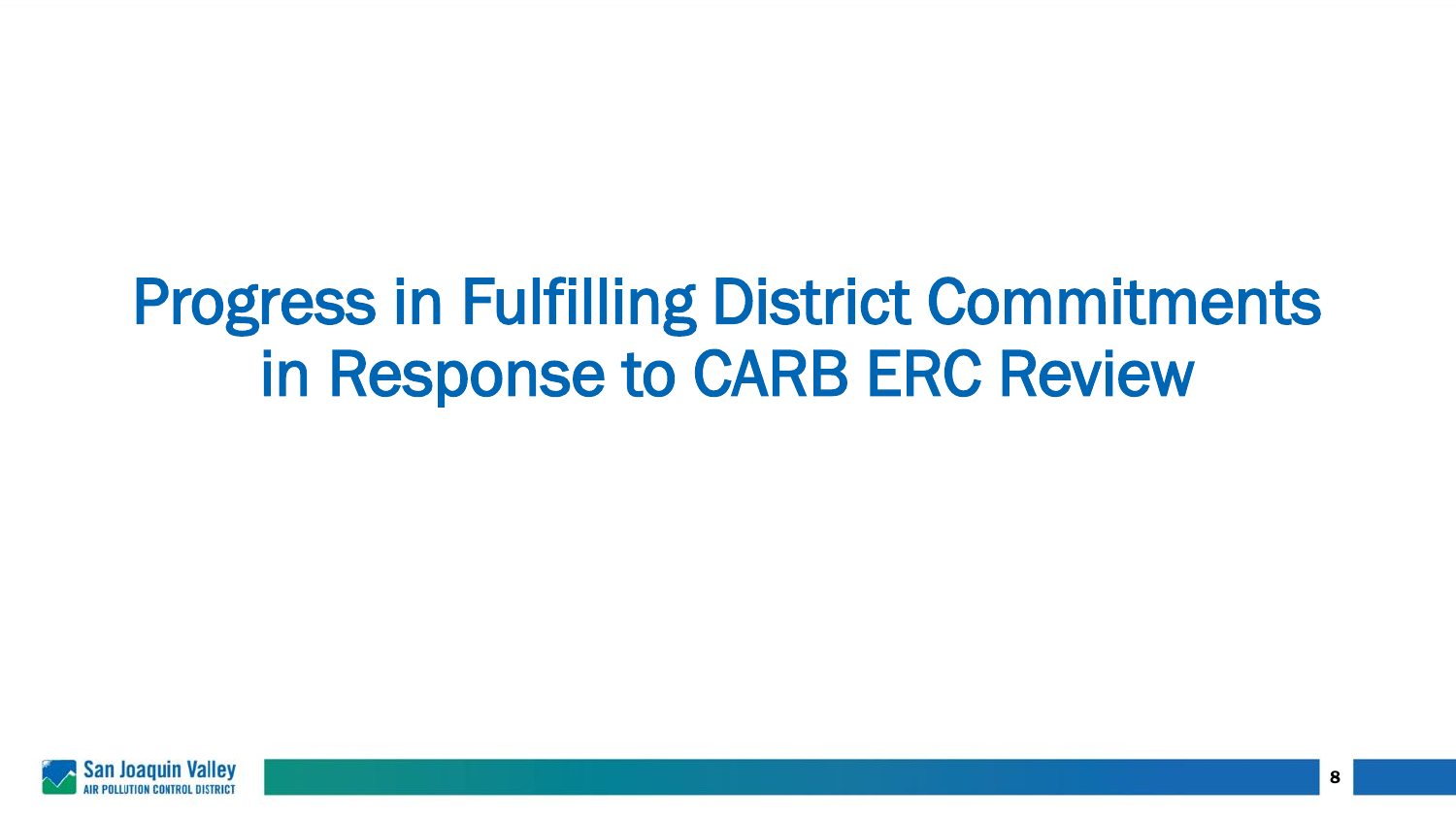### Progress in Fulfilling District Commitments in Response to CARB ERC Review

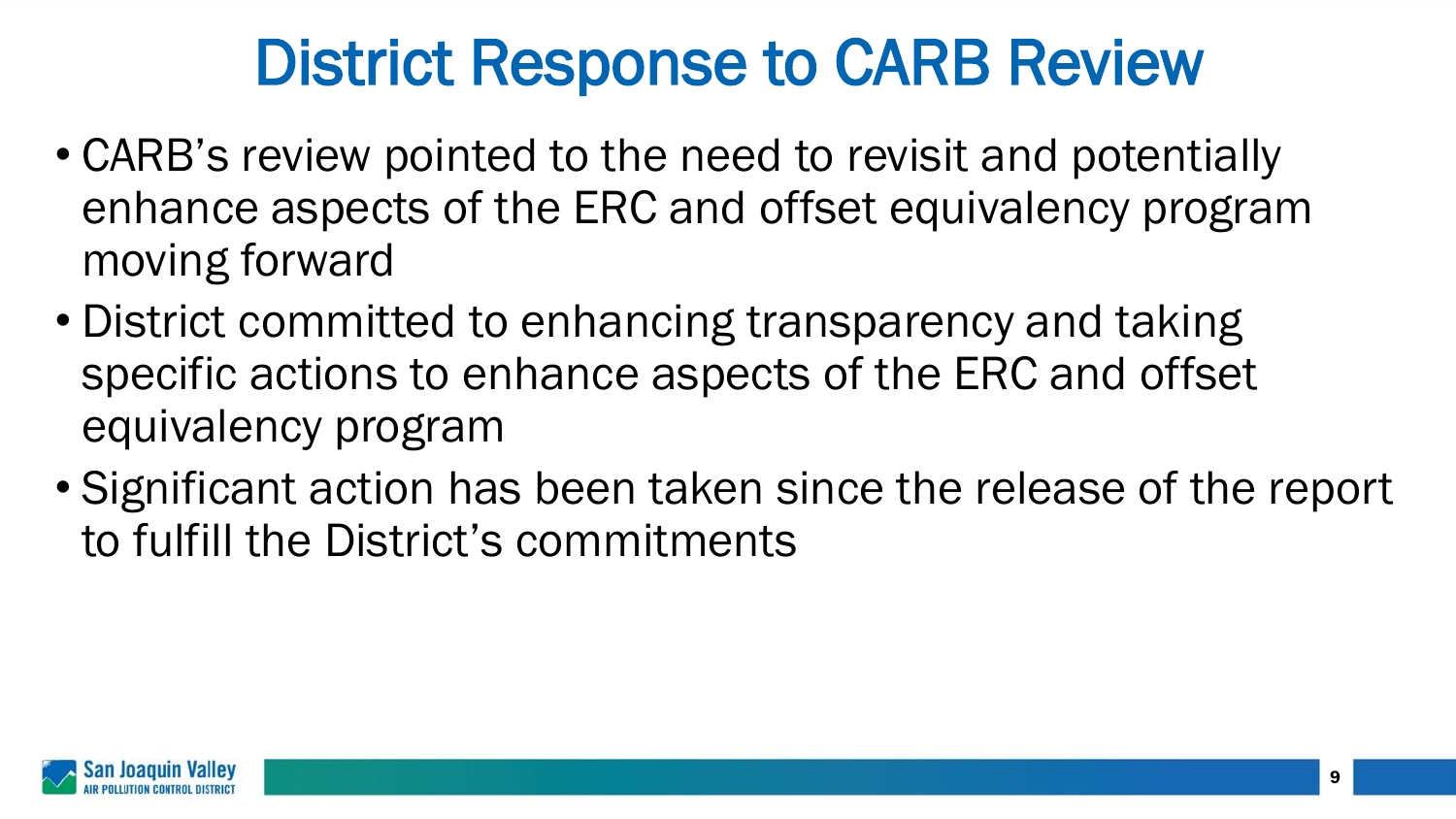### District Response to CARB Review

- CARB's review pointed to the need to revisit and potentially enhance aspects of the ERC and offset equivalency program moving forward
- District committed to enhancing transparency and taking specific actions to enhance aspects of the ERC and offset equivalency program
- Significant action has been taken since the release of the report to fulfill the District's commitments

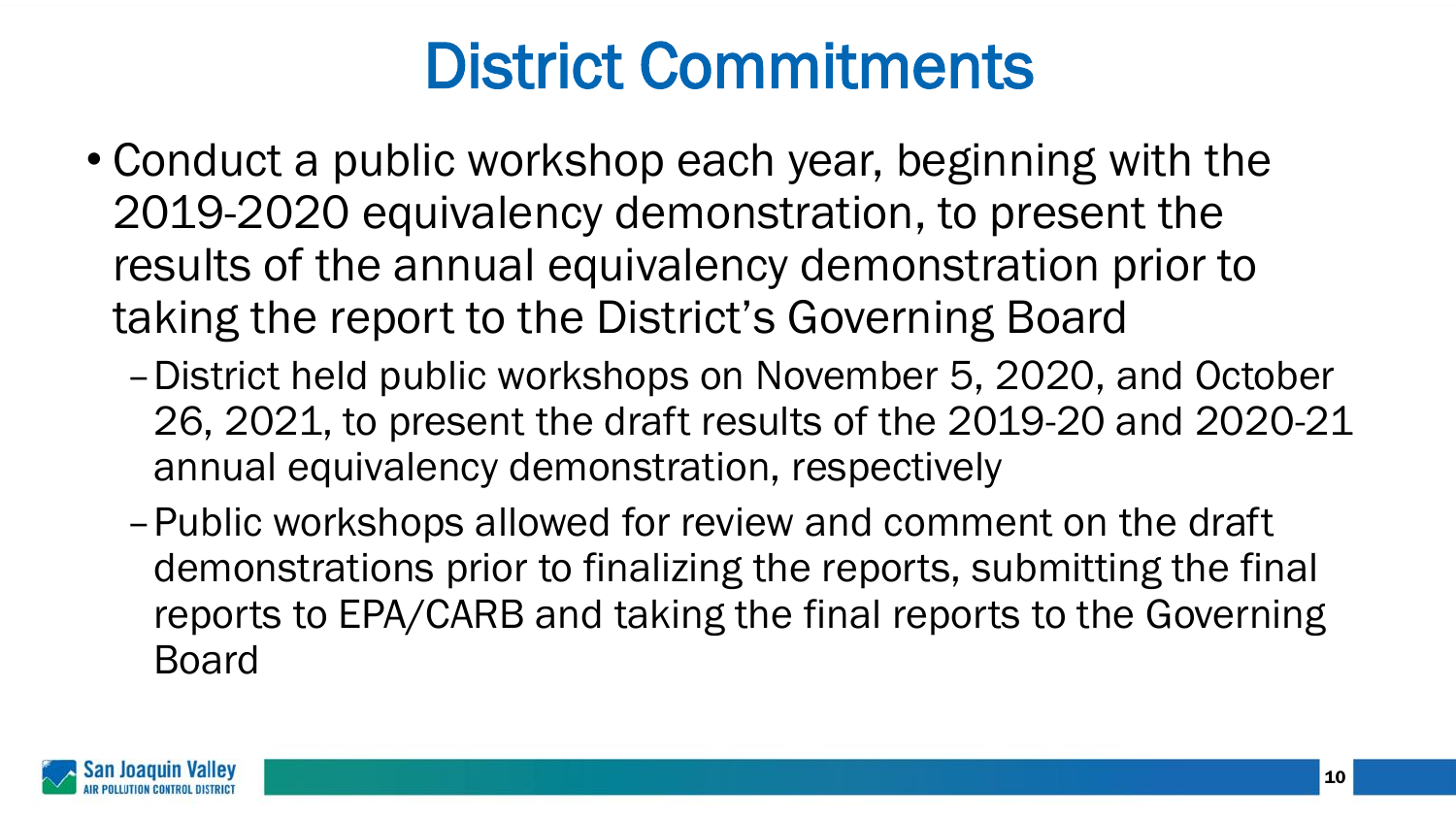# District Commitments

- Conduct a public workshop each year, beginning with the 2019-2020 equivalency demonstration, to present the results of the annual equivalency demonstration prior to taking the report to the District's Governing Board
	- –District held public workshops on November 5, 2020, and October 26, 2021, to present the draft results of the 2019-20 and 2020-21 annual equivalency demonstration, respectively
	- –Public workshops allowed for review and comment on the draft demonstrations prior to finalizing the reports, submitting the final reports to EPA/CARB and taking the final reports to the Governing Board

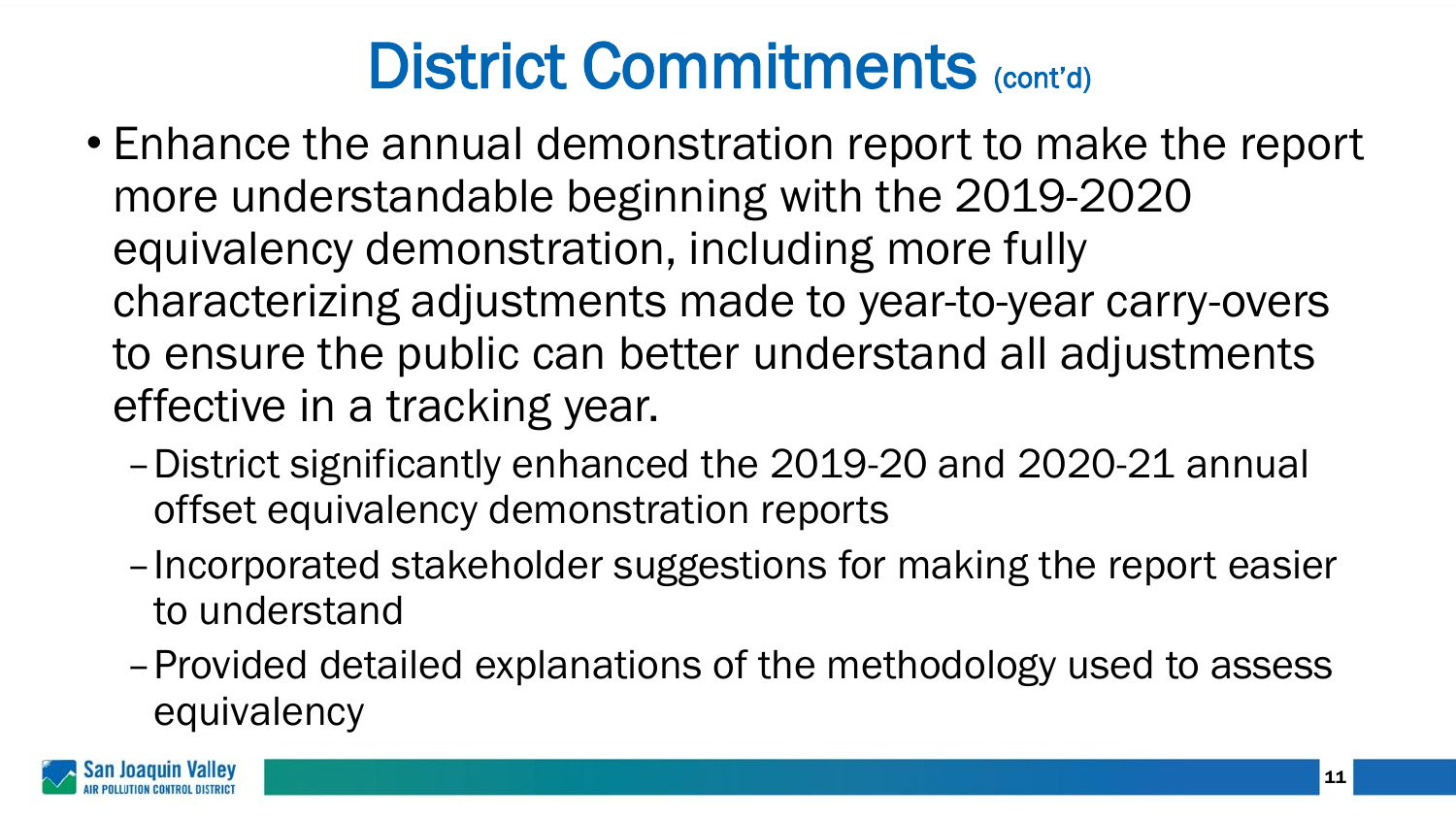- Enhance the annual demonstration report to make the report more understandable beginning with the 2019-2020 equivalency demonstration, including more fully characterizing adjustments made to year-to-year carry-overs to ensure the public can better understand all adjustments effective in a tracking year.
	- –District significantly enhanced the 2019-20 and 2020-21 annual offset equivalency demonstration reports
	- –Incorporated stakeholder suggestions for making the report easier to understand
	- –Provided detailed explanations of the methodology used to assess equivalency

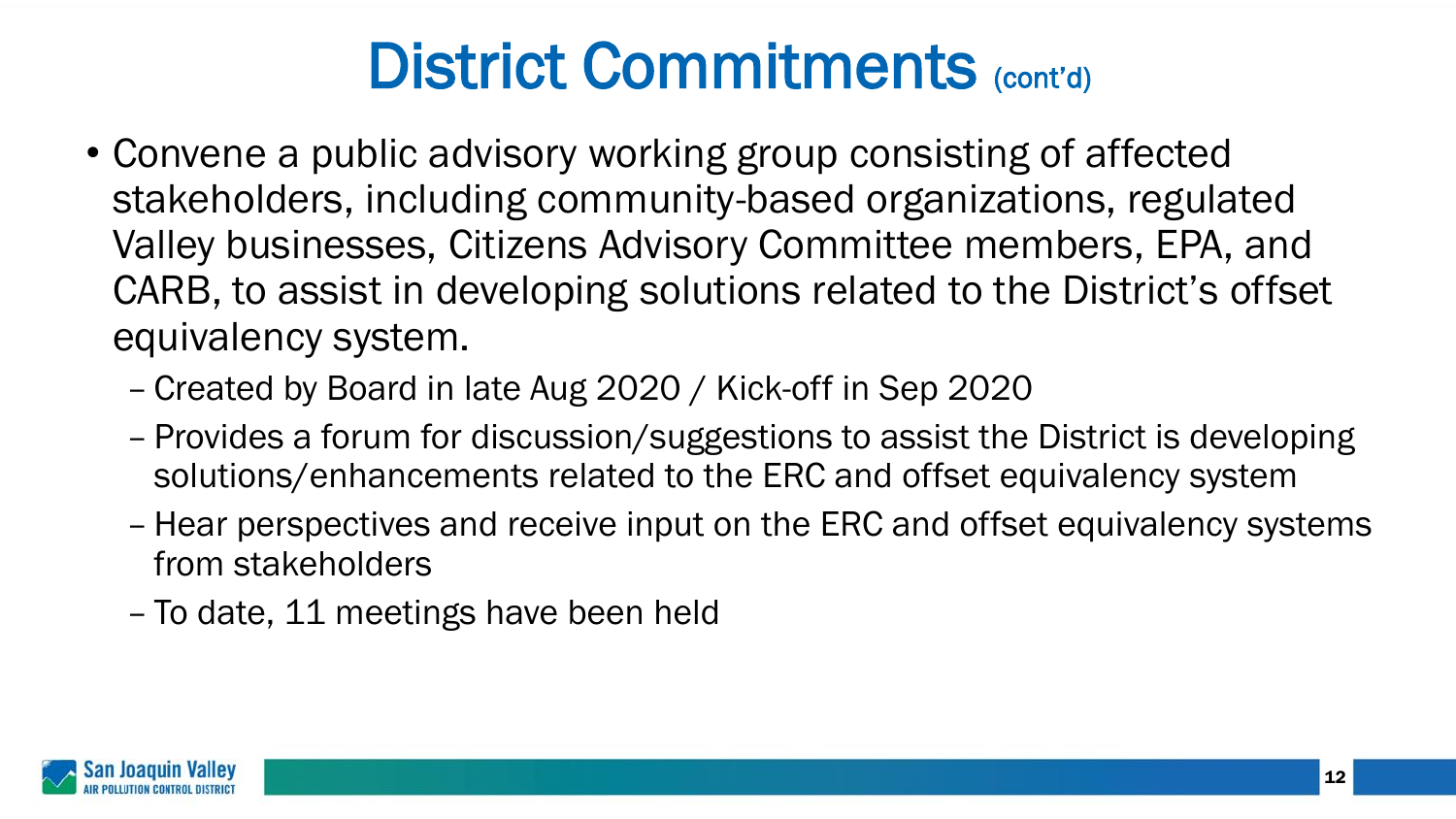- Convene a public advisory working group consisting of affected stakeholders, including community-based organizations, regulated Valley businesses, Citizens Advisory Committee members, EPA, and CARB, to assist in developing solutions related to the District's offset equivalency system.
	- Created by Board in late Aug 2020 / Kick-off in Sep 2020
	- Provides a forum for discussion/suggestions to assist the District is developing solutions/enhancements related to the ERC and offset equivalency system
	- Hear perspectives and receive input on the ERC and offset equivalency systems from stakeholders
	- To date, 11 meetings have been held

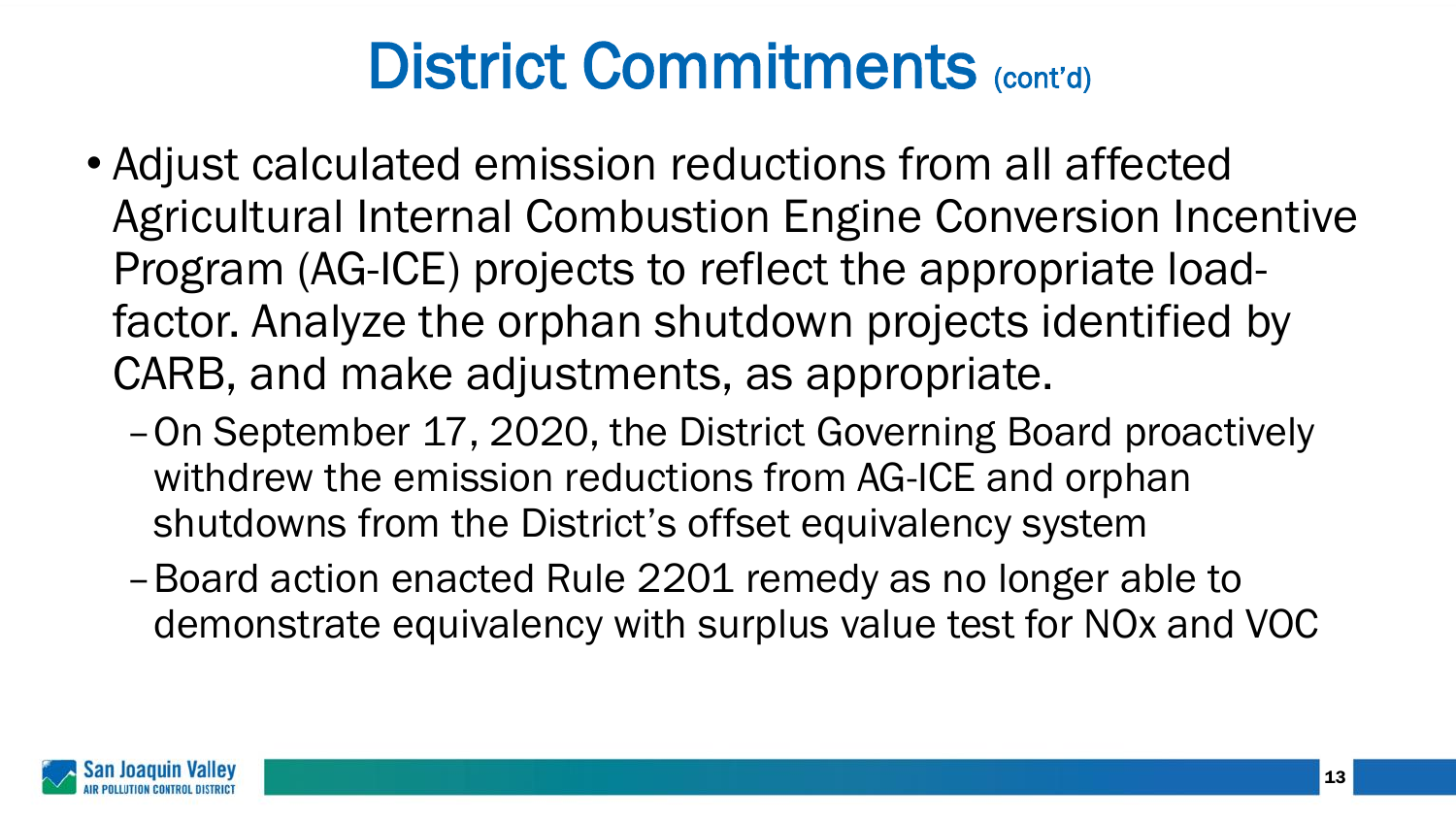- Adjust calculated emission reductions from all affected Agricultural Internal Combustion Engine Conversion Incentive Program (AG-ICE) projects to reflect the appropriate loadfactor. Analyze the orphan shutdown projects identified by CARB, and make adjustments, as appropriate.
	- –On September 17, 2020, the District Governing Board proactively withdrew the emission reductions from AG-ICE and orphan shutdowns from the District's offset equivalency system
	- –Board action enacted Rule 2201 remedy as no longer able to demonstrate equivalency with surplus value test for NOx and VOC

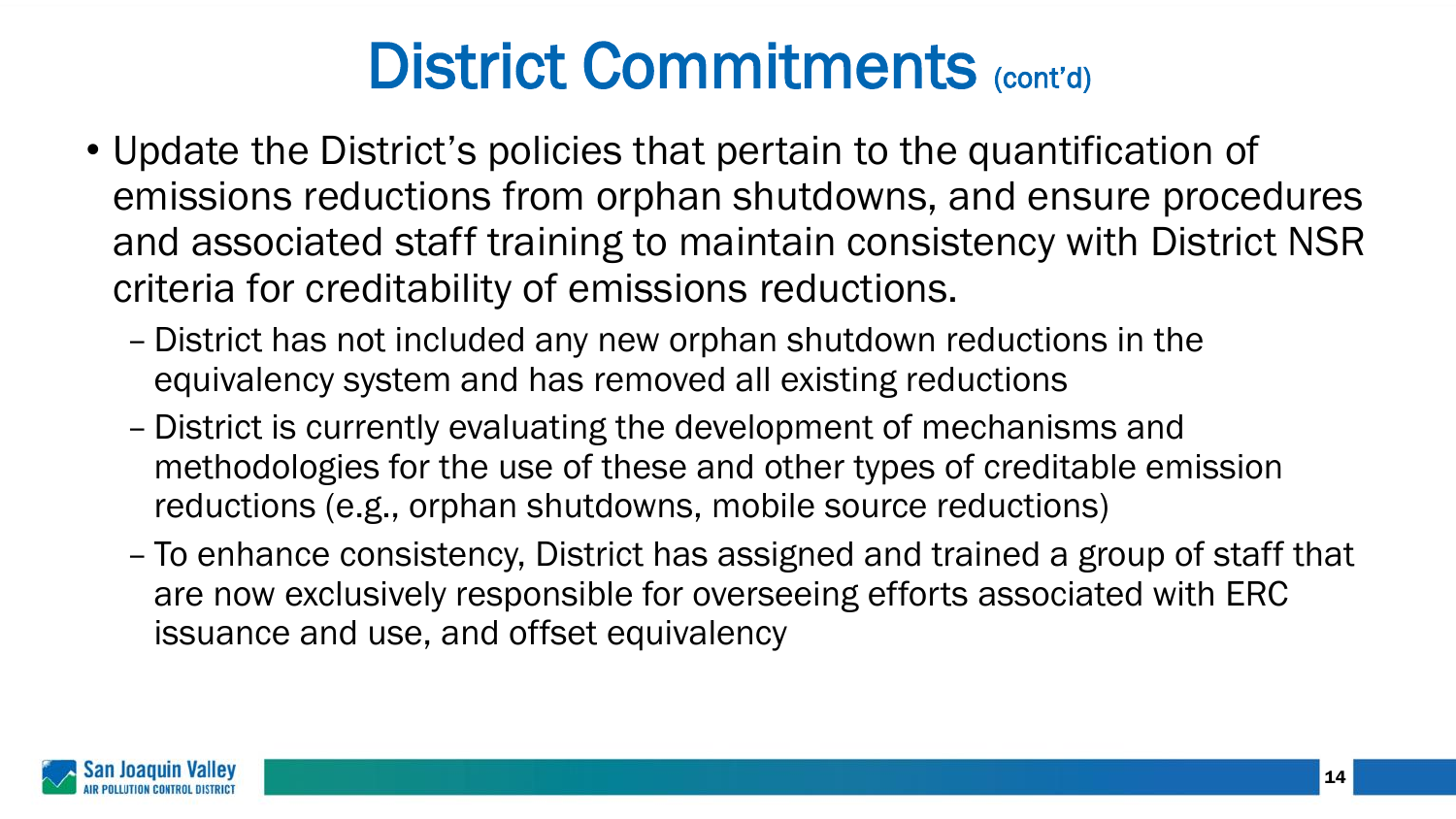- Update the District's policies that pertain to the quantification of emissions reductions from orphan shutdowns, and ensure procedures and associated staff training to maintain consistency with District NSR criteria for creditability of emissions reductions.
	- District has not included any new orphan shutdown reductions in the equivalency system and has removed all existing reductions
	- District is currently evaluating the development of mechanisms and methodologies for the use of these and other types of creditable emission reductions (e.g., orphan shutdowns, mobile source reductions)
	- To enhance consistency, District has assigned and trained a group of staff that are now exclusively responsible for overseeing efforts associated with ERC issuance and use, and offset equivalency

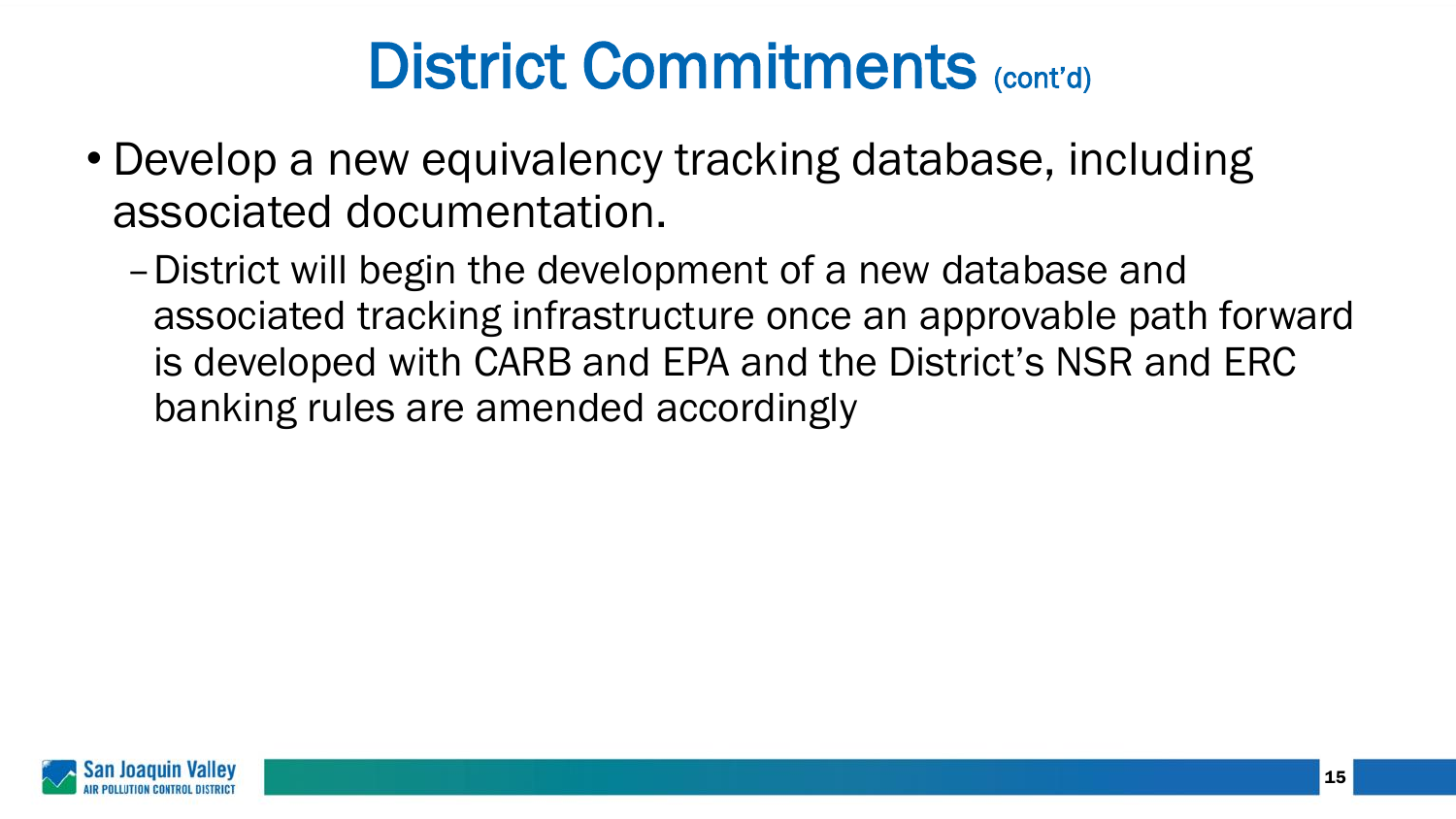- Develop a new equivalency tracking database, including associated documentation.
	- –District will begin the development of a new database and associated tracking infrastructure once an approvable path forward is developed with CARB and EPA and the District's NSR and ERC banking rules are amended accordingly

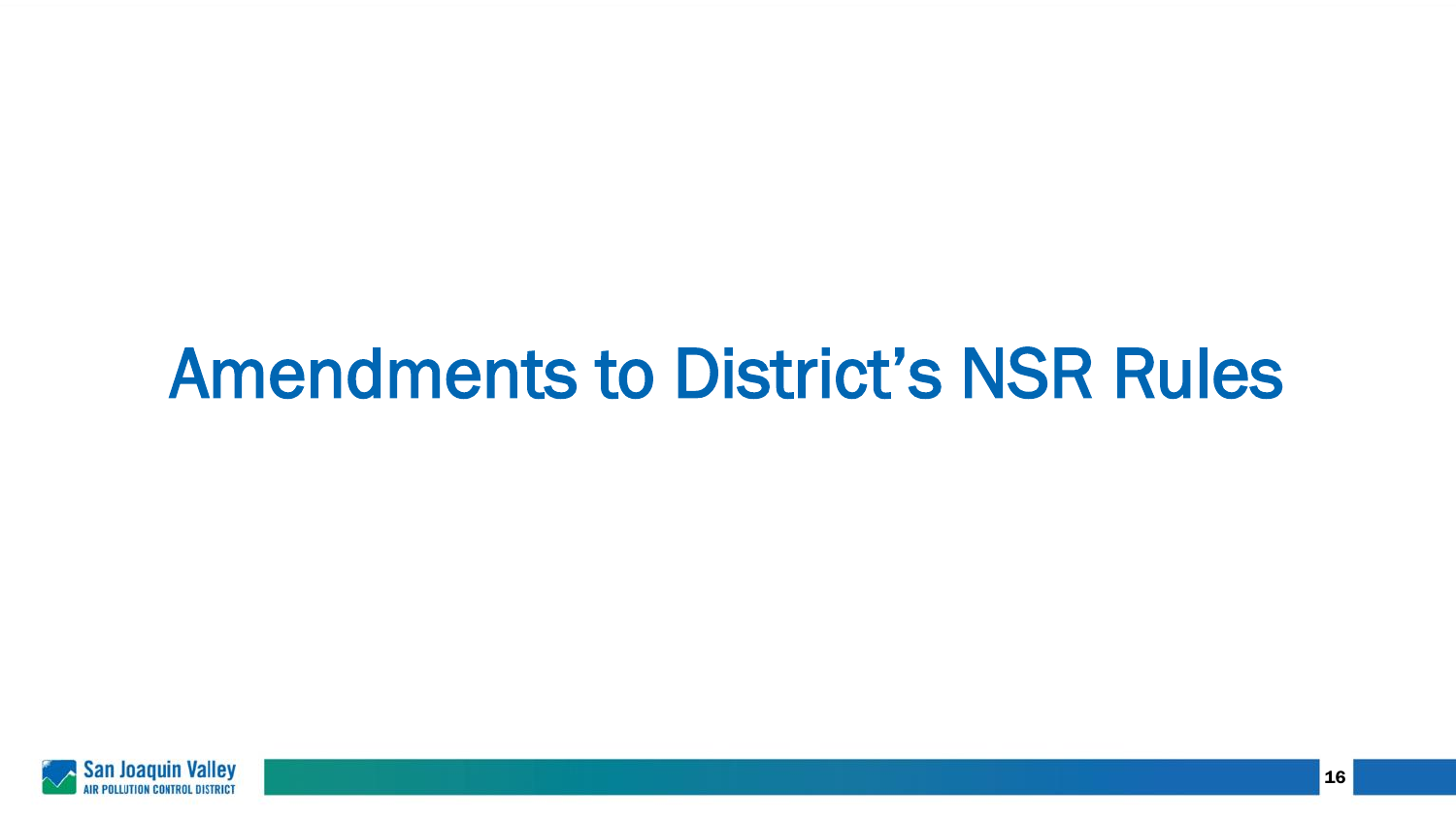# Amendments to District's NSR Rules

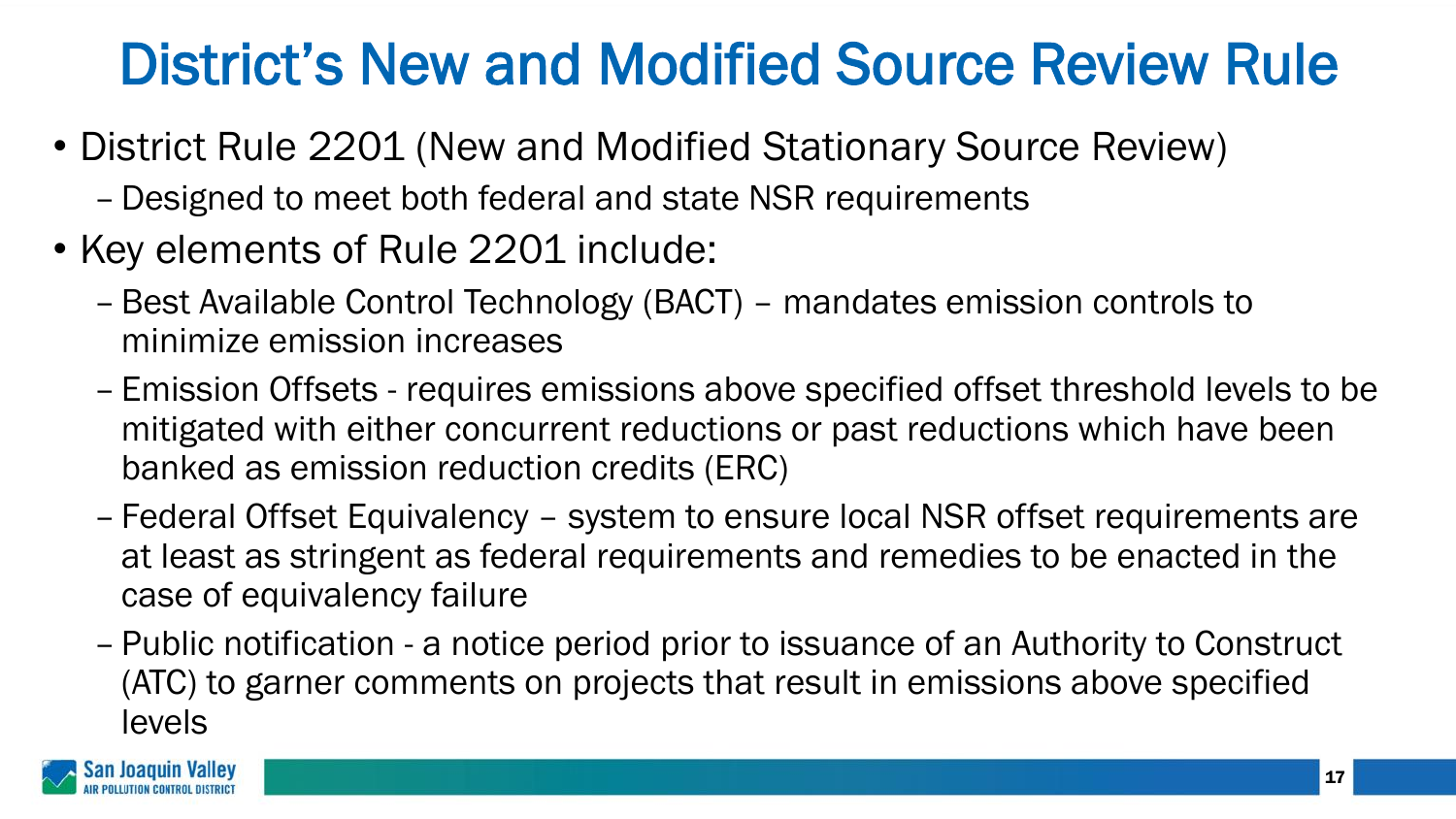#### District's New and Modified Source Review Rule

- District Rule 2201 (New and Modified Stationary Source Review)
	- Designed to meet both federal and state NSR requirements
- Key elements of Rule 2201 include:
	- Best Available Control Technology (BACT) mandates emission controls to minimize emission increases
	- Emission Offsets requires emissions above specified offset threshold levels to be mitigated with either concurrent reductions or past reductions which have been banked as emission reduction credits (ERC)
	- Federal Offset Equivalency system to ensure local NSR offset requirements are at least as stringent as federal requirements and remedies to be enacted in the case of equivalency failure
	- Public notification a notice period prior to issuance of an Authority to Construct (ATC) to garner comments on projects that result in emissions above specified levels

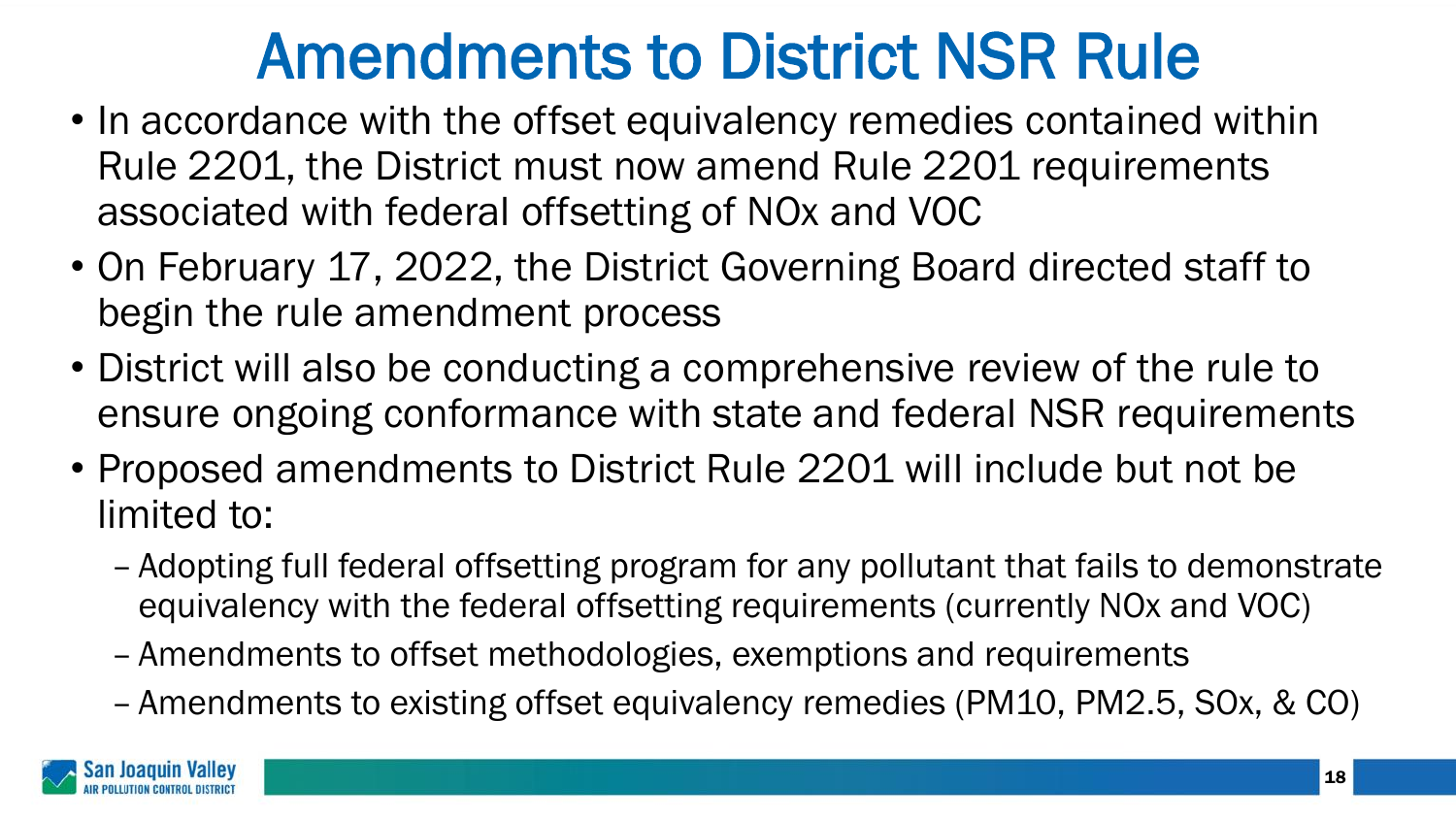## Amendments to District NSR Rule

- In accordance with the offset equivalency remedies contained within Rule 2201, the District must now amend Rule 2201 requirements associated with federal offsetting of NOx and VOC
- On February 17, 2022, the District Governing Board directed staff to begin the rule amendment process
- District will also be conducting a comprehensive review of the rule to ensure ongoing conformance with state and federal NSR requirements
- Proposed amendments to District Rule 2201 will include but not be limited to:
	- Adopting full federal offsetting program for any pollutant that fails to demonstrate equivalency with the federal offsetting requirements (currently NOx and VOC)
	- Amendments to offset methodologies, exemptions and requirements
	- Amendments to existing offset equivalency remedies (PM10, PM2.5, SOx, & CO)

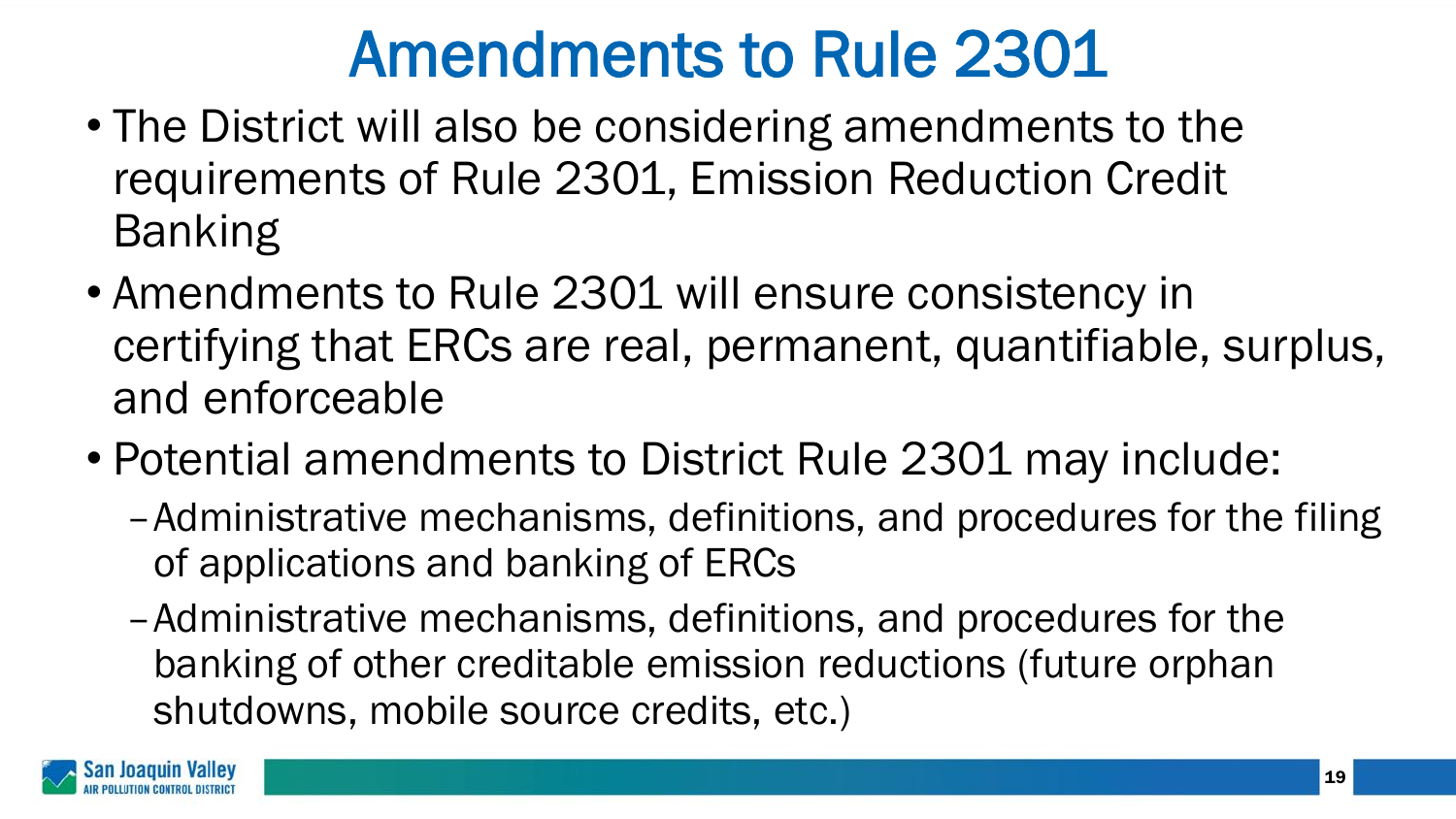# Amendments to Rule 2301

- The District will also be considering amendments to the requirements of Rule 2301, Emission Reduction Credit Banking
- Amendments to Rule 2301 will ensure consistency in certifying that ERCs are real, permanent, quantifiable, surplus, and enforceable
- Potential amendments to District Rule 2301 may include:
	- –Administrative mechanisms, definitions, and procedures for the filing of applications and banking of ERCs
	- –Administrative mechanisms, definitions, and procedures for the banking of other creditable emission reductions (future orphan shutdowns, mobile source credits, etc.)

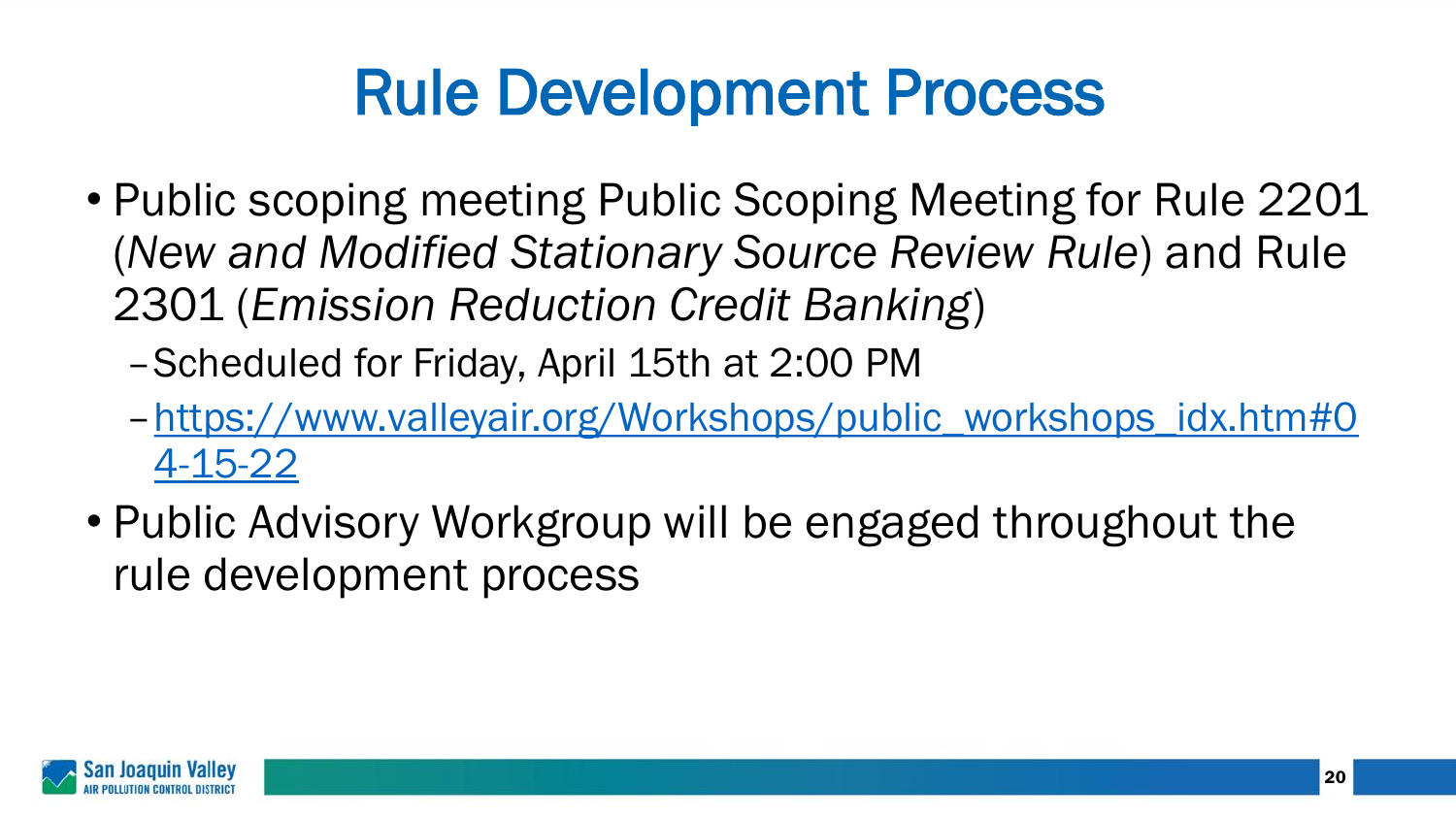# Rule Development Process

- Public scoping meeting Public Scoping Meeting for Rule 2201 (*New and Modified Stationary Source Review Rule*) and Rule 2301 (*Emission Reduction Credit Banking*)
	- –Scheduled for Friday, April 15th at 2:00 PM
	- –[https://www.valleyair.org/Workshops/public\\_workshops\\_idx.htm#0](https://www.valleyair.org/Workshops/public_workshops_idx.htm#04-15-22) 4-15-22
- Public Advisory Workgroup will be engaged throughout the rule development process

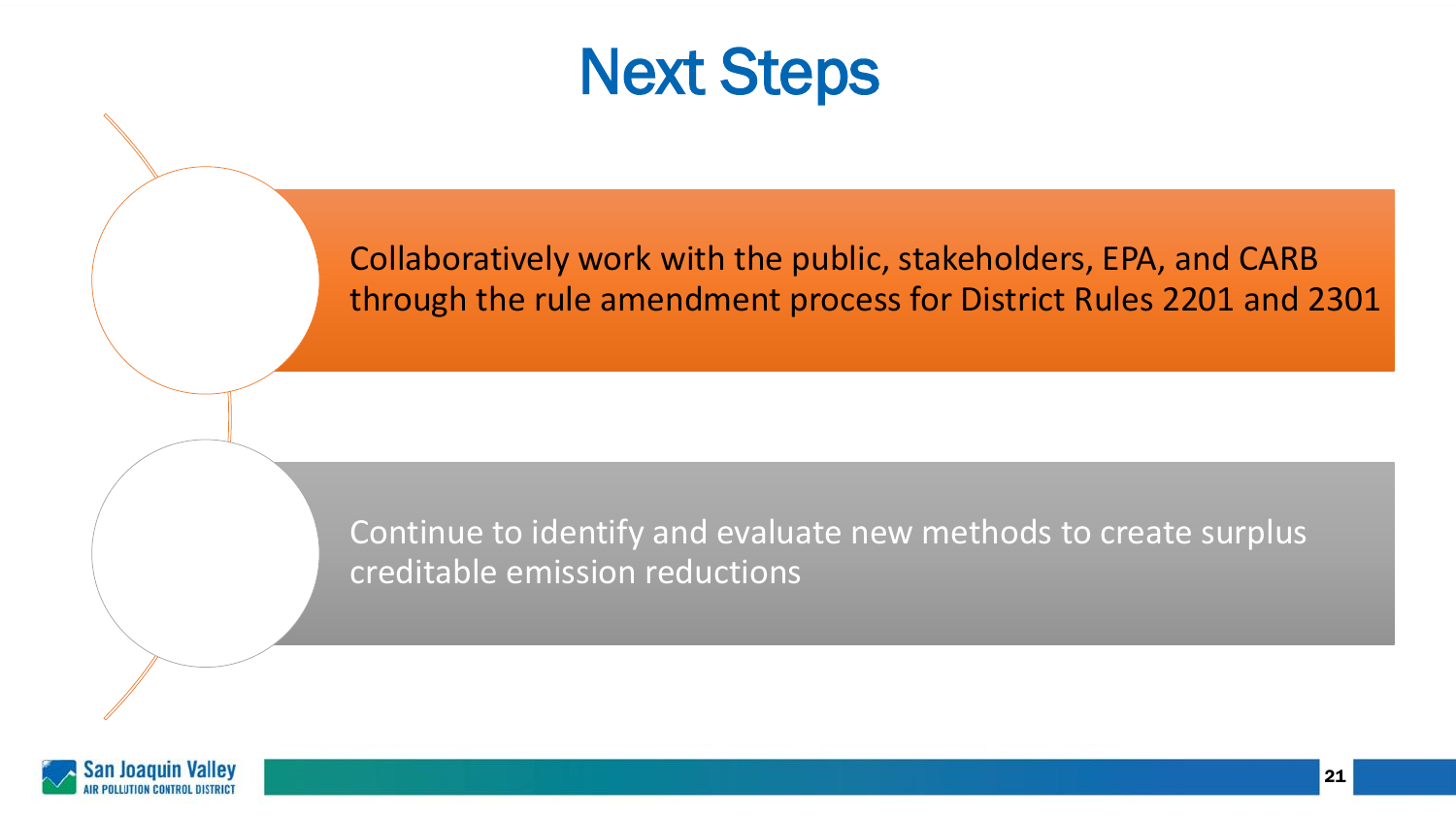

Collaboratively work with the public, stakeholders, EPA, and CARB through the rule amendment process for District Rules 2201 and 2301

Continue to identify and evaluate new methods to create surplus creditable emission reductions